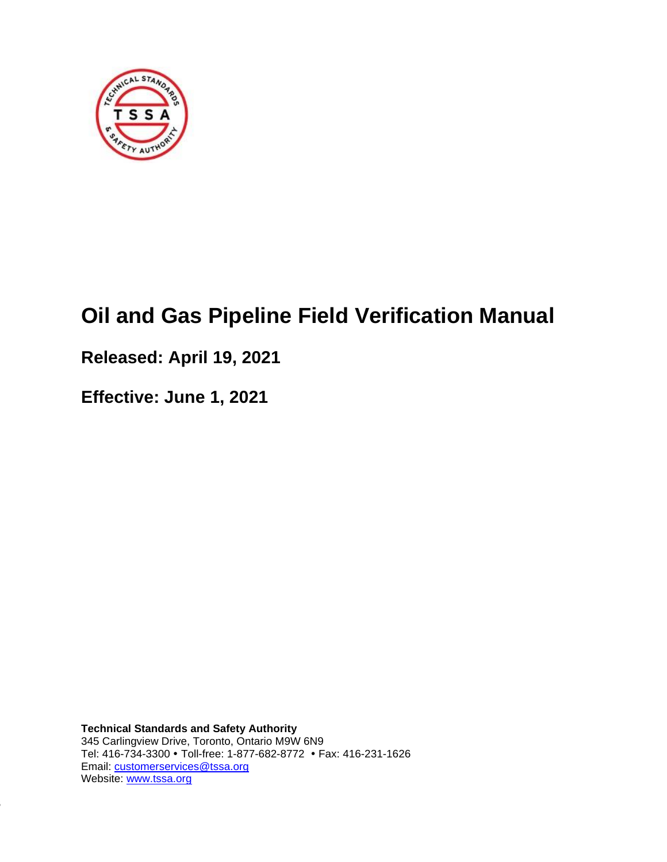

# **Oil and Gas Pipeline Field Verification Manual**

# **Released: April 19, 2021**

**Effective: June 1, 2021**

-1626

**Technical Standards and Safety Authority** 345 Carlingview Drive, Toronto, Ontario M9W 6N9 Tel: 416-734-3300 Toll-free: 1-877-682-8772 Fax: 416-231-1626 Email: [customerservices@tssa.org](mailto:customerservices@tssa.org) Website: [www.tssa.org](http://www.tssa.org/)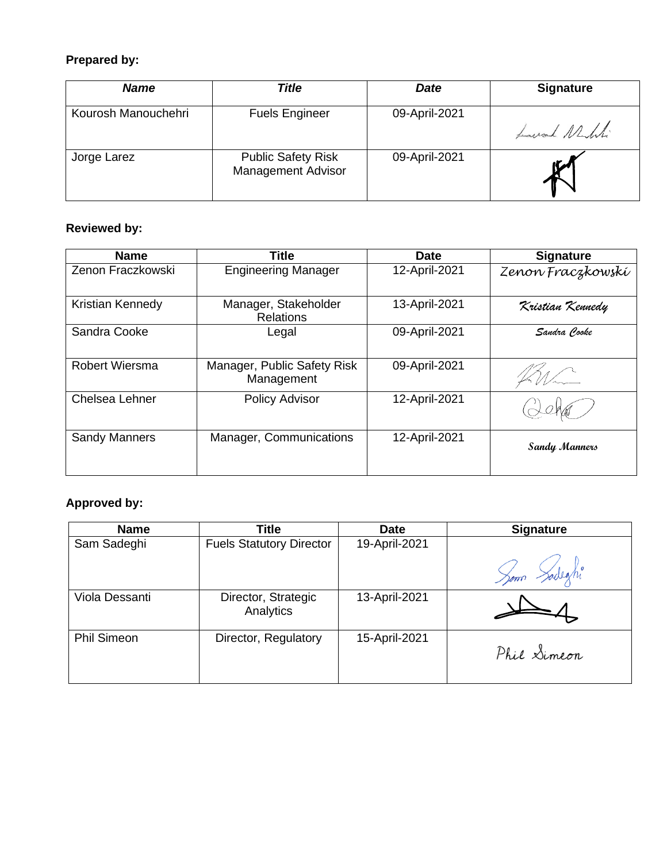### **Prepared by:**

| <b>Name</b>         | Title                                                  | <b>Date</b>   | <b>Signature</b> |
|---------------------|--------------------------------------------------------|---------------|------------------|
| Kourosh Manouchehri | <b>Fuels Engineer</b>                                  | 09-April-2021 | Laurand Nelli    |
| Jorge Larez         | <b>Public Safety Risk</b><br><b>Management Advisor</b> | 09-April-2021 | K                |

### **Reviewed by:**

| <b>Name</b>             | <b>Title</b>                              | <b>Date</b>   | <b>Signature</b>  |
|-------------------------|-------------------------------------------|---------------|-------------------|
| Zenon Fraczkowski       | <b>Engineering Manager</b>                | 12-April-2021 | Zenon Fraczkowskí |
| <b>Kristian Kennedy</b> | Manager, Stakeholder<br><b>Relations</b>  | 13-April-2021 | Kristian Kennedy  |
| Sandra Cooke            | Legal                                     | 09-April-2021 | Sandra Cooke      |
| Robert Wiersma          | Manager, Public Safety Risk<br>Management | 09-April-2021 |                   |
| Chelsea Lehner          | <b>Policy Advisor</b>                     | 12-April-2021 |                   |
| <b>Sandy Manners</b>    | Manager, Communications                   | 12-April-2021 | Sandy Manners     |

### **Approved by:**

| <b>Name</b>        | <b>Title</b>                     | <b>Date</b>   | <b>Signature</b> |
|--------------------|----------------------------------|---------------|------------------|
| Sam Sadeghi        | <b>Fuels Statutory Director</b>  | 19-April-2021 |                  |
|                    |                                  |               | Som Sadeghi      |
| Viola Dessanti     | Director, Strategic<br>Analytics | 13-April-2021 |                  |
| <b>Phil Simeon</b> | Director, Regulatory             | 15-April-2021 | Phil Simeon      |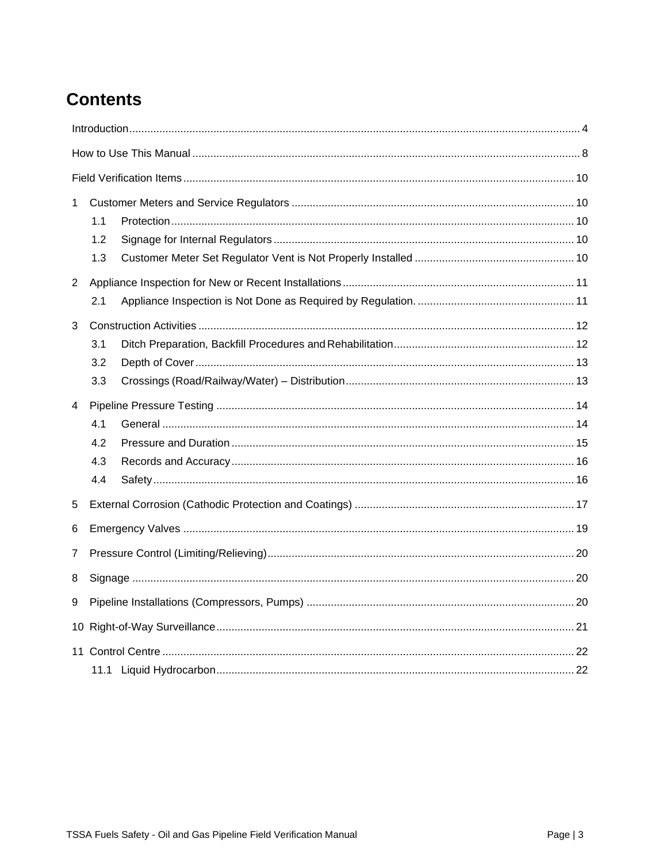# **Contents**

| 1                     |     |  |  |  |  |  |
|-----------------------|-----|--|--|--|--|--|
|                       | 1.1 |  |  |  |  |  |
|                       | 1.2 |  |  |  |  |  |
|                       | 1.3 |  |  |  |  |  |
| $\mathbf{2}^{\prime}$ |     |  |  |  |  |  |
|                       | 2.1 |  |  |  |  |  |
| 3                     |     |  |  |  |  |  |
|                       | 3.1 |  |  |  |  |  |
|                       | 3.2 |  |  |  |  |  |
|                       | 3.3 |  |  |  |  |  |
| 4                     |     |  |  |  |  |  |
|                       | 4.1 |  |  |  |  |  |
|                       | 4.2 |  |  |  |  |  |
|                       | 4.3 |  |  |  |  |  |
|                       | 4.4 |  |  |  |  |  |
| 5                     |     |  |  |  |  |  |
| 6                     |     |  |  |  |  |  |
| 7                     |     |  |  |  |  |  |
| 8                     |     |  |  |  |  |  |
| 9                     |     |  |  |  |  |  |
|                       |     |  |  |  |  |  |
|                       |     |  |  |  |  |  |
|                       |     |  |  |  |  |  |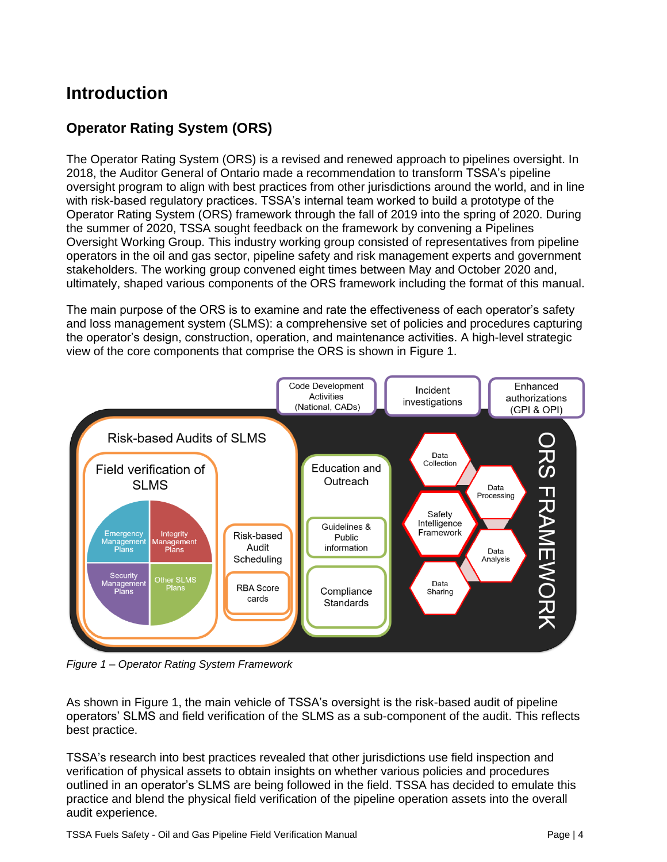# <span id="page-3-0"></span>**Introduction**

### **Operator Rating System (ORS)**

The Operator Rating System (ORS) is a revised and renewed approach to pipelines oversight. In 2018, the Auditor General of Ontario made a recommendation to transform TSSA's pipeline oversight program to align with best practices from other jurisdictions around the world, and in line with risk-based regulatory practices. TSSA's internal team worked to build a prototype of the Operator Rating System (ORS) framework through the fall of 2019 into the spring of 2020. During the summer of 2020, TSSA sought feedback on the framework by convening a Pipelines Oversight Working Group. This industry working group consisted of representatives from pipeline operators in the oil and gas sector, pipeline safety and risk management experts and government stakeholders. The working group convened eight times between May and October 2020 and, ultimately, shaped various components of the ORS framework including the format of this manual.

The main purpose of the ORS is to examine and rate the effectiveness of each operator's safety and loss management system (SLMS): a comprehensive set of policies and procedures capturing the operator's design, construction, operation, and maintenance activities. A high-level strategic view of the core components that comprise the ORS is shown in Figure 1.



*Figure 1 – Operator Rating System Framework*

As shown in Figure 1, the main vehicle of TSSA's oversight is the risk-based audit of pipeline operators' SLMS and field verification of the SLMS as a sub-component of the audit. This reflects best practice.

TSSA's research into best practices revealed that other jurisdictions use field inspection and verification of physical assets to obtain insights on whether various policies and procedures outlined in an operator's SLMS are being followed in the field. TSSA has decided to emulate this practice and blend the physical field verification of the pipeline operation assets into the overall audit experience.

TSSA Fuels Safety - Oil and Gas Pipeline Field Verification Manual **Page 14** Page | 4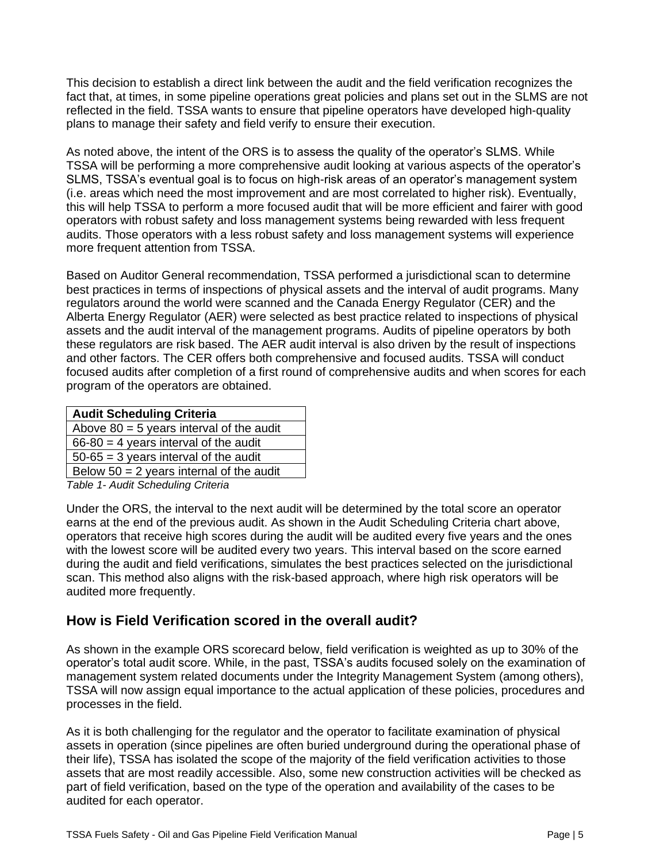This decision to establish a direct link between the audit and the field verification recognizes the fact that, at times, in some pipeline operations great policies and plans set out in the SLMS are not reflected in the field. TSSA wants to ensure that pipeline operators have developed high-quality plans to manage their safety and field verify to ensure their execution.

As noted above, the intent of the ORS is to assess the quality of the operator's SLMS. While TSSA will be performing a more comprehensive audit looking at various aspects of the operator's SLMS, TSSA's eventual goal is to focus on high-risk areas of an operator's management system (i.e. areas which need the most improvement and are most correlated to higher risk). Eventually, this will help TSSA to perform a more focused audit that will be more efficient and fairer with good operators with robust safety and loss management systems being rewarded with less frequent audits. Those operators with a less robust safety and loss management systems will experience more frequent attention from TSSA.

Based on Auditor General recommendation, TSSA performed a jurisdictional scan to determine best practices in terms of inspections of physical assets and the interval of audit programs. Many regulators around the world were scanned and the Canada Energy Regulator (CER) and the Alberta Energy Regulator (AER) were selected as best practice related to inspections of physical assets and the audit interval of the management programs. Audits of pipeline operators by both these regulators are risk based. The AER audit interval is also driven by the result of inspections and other factors. The CER offers both comprehensive and focused audits. TSSA will conduct focused audits after completion of a first round of comprehensive audits and when scores for each program of the operators are obtained.

| <b>Audit Scheduling Criteria</b>           |
|--------------------------------------------|
| Above $80 = 5$ years interval of the audit |
| $66-80 = 4$ years interval of the audit    |
| $50-65 = 3$ years interval of the audit    |
| Below $50 = 2$ years internal of the audit |
| $Table 4$ August Capachulian Cultaria      |

*Table 1- Audit Scheduling Criteria*

Under the ORS, the interval to the next audit will be determined by the total score an operator earns at the end of the previous audit. As shown in the Audit Scheduling Criteria chart above, operators that receive high scores during the audit will be audited every five years and the ones with the lowest score will be audited every two years. This interval based on the score earned during the audit and field verifications, simulates the best practices selected on the jurisdictional scan. This method also aligns with the risk-based approach, where high risk operators will be audited more frequently.

#### **How is Field Verification scored in the overall audit?**

As shown in the example ORS scorecard below, field verification is weighted as up to 30% of the operator's total audit score. While, in the past, TSSA's audits focused solely on the examination of management system related documents under the Integrity Management System (among others), TSSA will now assign equal importance to the actual application of these policies, procedures and processes in the field.

As it is both challenging for the regulator and the operator to facilitate examination of physical assets in operation (since pipelines are often buried underground during the operational phase of their life), TSSA has isolated the scope of the majority of the field verification activities to those assets that are most readily accessible. Also, some new construction activities will be checked as part of field verification, based on the type of the operation and availability of the cases to be audited for each operator.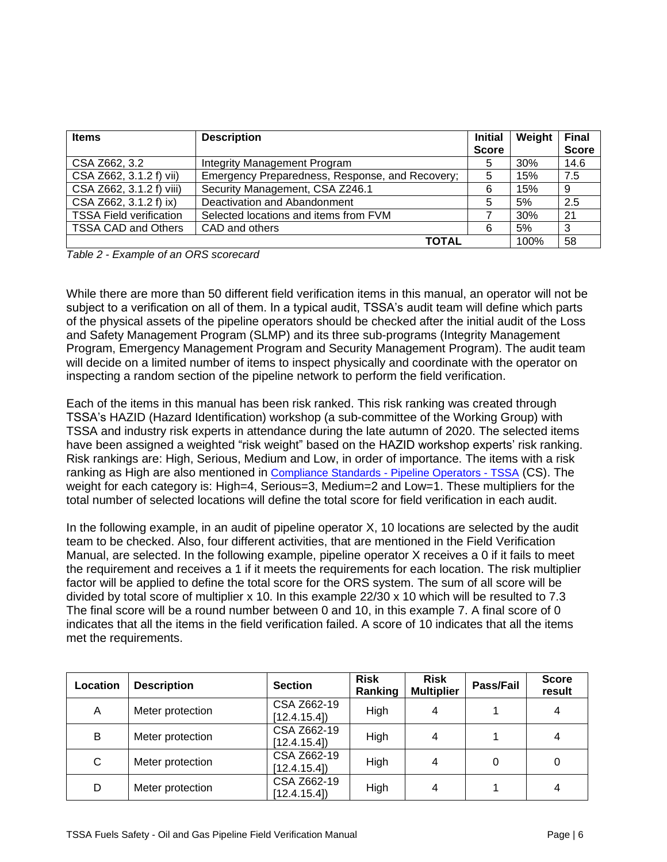| <b>Items</b>                   | <b>Description</b>                              |              | Weight | <b>Final</b> |
|--------------------------------|-------------------------------------------------|--------------|--------|--------------|
|                                |                                                 | <b>Score</b> |        | <b>Score</b> |
| CSA Z662, 3.2                  | Integrity Management Program                    | 5            | 30%    | 14.6         |
| CSA Z662, 3.1.2 f) vii)        | Emergency Preparedness, Response, and Recovery; | 5            | 15%    | 7.5          |
| CSA Z662, 3.1.2 f) viii)       | Security Management, CSA Z246.1                 | 6            | 15%    | 9            |
| CSA Z662, 3.1.2 f) ix)         | Deactivation and Abandonment                    | 5            | 5%     | 2.5          |
| <b>TSSA Field verification</b> | Selected locations and items from FVM           |              | 30%    | 21           |
| <b>TSSA CAD and Others</b>     | CAD and others                                  | 6            | 5%     | 3            |
|                                | <b>TOTAL</b>                                    |              | 100%   | 58           |

*Table 2 - Example of an ORS scorecard*

While there are more than 50 different field verification items in this manual, an operator will not be subject to a verification on all of them. In a typical audit, TSSA's audit team will define which parts of the physical assets of the pipeline operators should be checked after the initial audit of the Loss and Safety Management Program (SLMP) and its three sub-programs (Integrity Management Program, Emergency Management Program and Security Management Program). The audit team will decide on a limited number of items to inspect physically and coordinate with the operator on inspecting a random section of the pipeline network to perform the field verification.

Each of the items in this manual has been risk ranked. This risk ranking was created through TSSA's HAZID (Hazard Identification) workshop (a sub-committee of the Working Group) with TSSA and industry risk experts in attendance during the late autumn of 2020. The selected items have been assigned a weighted "risk weight" based on the HAZID workshop experts' risk ranking. Risk rankings are: High, Serious, Medium and Low, in order of importance. The items with a risk ranking as High are also mentioned in [Compliance Standards -](https://www.tssa.org/en/fuels/compliance-standards---pipeline-operators-.aspx) Pipeline Operators - TSSA (CS). The weight for each category is: High=4, Serious=3, Medium=2 and Low=1. These multipliers for the total number of selected locations will define the total score for field verification in each audit.

In the following example, in an audit of pipeline operator X, 10 locations are selected by the audit team to be checked. Also, four different activities, that are mentioned in the Field Verification Manual, are selected. In the following example, pipeline operator X receives a 0 if it fails to meet the requirement and receives a 1 if it meets the requirements for each location. The risk multiplier factor will be applied to define the total score for the ORS system. The sum of all score will be divided by total score of multiplier  $x$  10. In this example 22/30  $x$  10 which will be resulted to 7.3 The final score will be a round number between 0 and 10, in this example 7. A final score of 0 indicates that all the items in the field verification failed. A score of 10 indicates that all the items met the requirements.

| Location | <b>Description</b> | <b>Section</b>             | <b>Risk</b><br>Ranking | <b>Risk</b><br><b>Multiplier</b> | Pass/Fail | <b>Score</b><br>result |
|----------|--------------------|----------------------------|------------------------|----------------------------------|-----------|------------------------|
| A        | Meter protection   | CSA Z662-19<br>[12.4.15.4] | High                   | 4                                |           | 4                      |
| В        | Meter protection   | CSA Z662-19<br>[12.4.15.4] | High                   | 4                                |           |                        |
| C        | Meter protection   | CSA Z662-19<br>[12.4.15.4] | High                   | 4                                |           | 0                      |
| D        | Meter protection   | CSA Z662-19<br>[12.4.15.4] | High                   | 4                                |           |                        |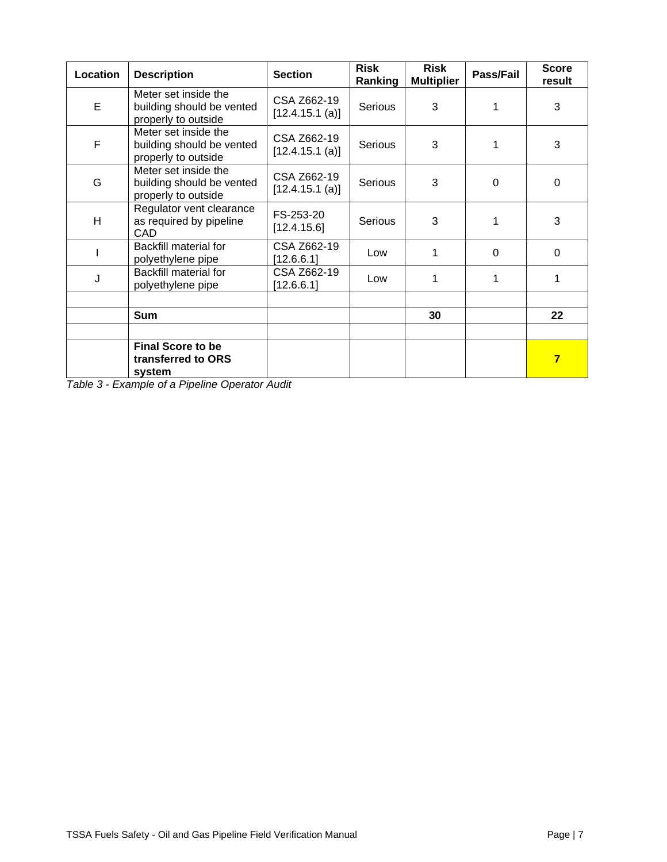| Location | <b>Description</b>                                                       | <b>Section</b>                 | <b>Risk</b><br>Ranking | Risk<br><b>Multiplier</b> | Pass/Fail | <b>Score</b><br>result  |
|----------|--------------------------------------------------------------------------|--------------------------------|------------------------|---------------------------|-----------|-------------------------|
| E        | Meter set inside the<br>building should be vented<br>properly to outside | CSA Z662-19<br>[12.4.15.1 (a)] | Serious                | 3                         | 1         | 3                       |
| F        | Meter set inside the<br>building should be vented<br>properly to outside | CSA Z662-19<br>[12.4.15.1 (a)] | <b>Serious</b>         | 3                         | 1         | 3                       |
| G        | Meter set inside the<br>building should be vented<br>properly to outside | CSA Z662-19<br>[12.4.15.1 (a)] | <b>Serious</b>         | 3                         | $\Omega$  | $\mathbf 0$             |
| H        | Regulator vent clearance<br>as required by pipeline<br>CAD               | FS-253-20<br>[12.4.15.6]       | <b>Serious</b>         | 3                         | 1         | 3                       |
|          | Backfill material for<br>polyethylene pipe                               | CSA Z662-19<br>[12.6.6.1]      | Low                    | 1                         | $\Omega$  | $\mathbf 0$             |
| J        | <b>Backfill material for</b><br>polyethylene pipe                        | CSA Z662-19<br>[12.6.6.1]      | Low                    | 1                         | 1         | 1                       |
|          | <b>Sum</b>                                                               |                                |                        | 30                        |           | 22                      |
|          | <b>Final Score to be</b><br>transferred to ORS<br>system                 |                                |                        |                           |           | $\overline{\mathbf{7}}$ |

*Table 3 - Example of a Pipeline Operator Audit*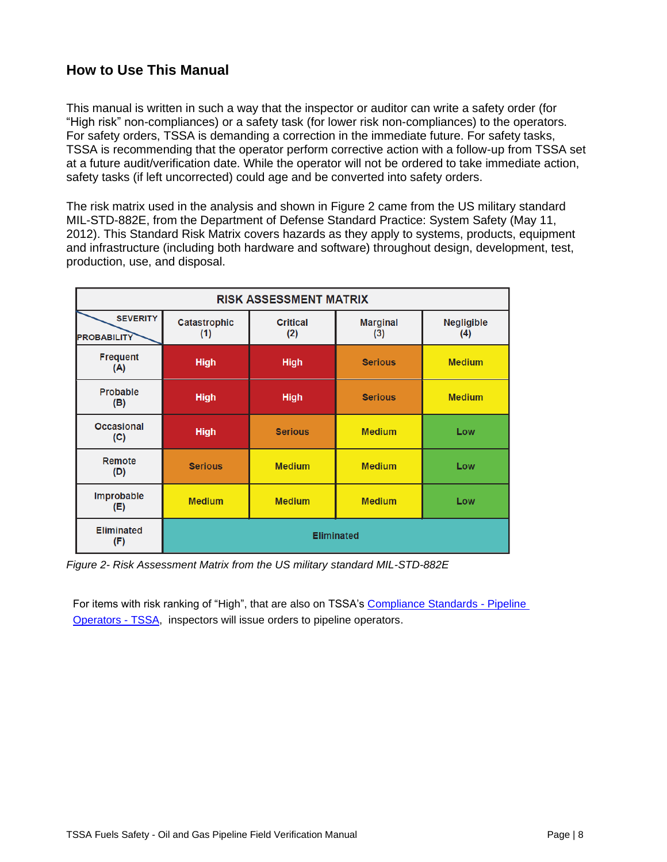#### <span id="page-7-0"></span>**How to Use This Manual**

This manual is written in such a way that the inspector or auditor can write a safety order (for "High risk" non-compliances) or a safety task (for lower risk non-compliances) to the operators. For safety orders, TSSA is demanding a correction in the immediate future. For safety tasks, TSSA is recommending that the operator perform corrective action with a follow-up from TSSA set at a future audit/verification date. While the operator will not be ordered to take immediate action, safety tasks (if left uncorrected) could age and be converted into safety orders.

The risk matrix used in the analysis and shown in Figure 2 came from the US military standard MIL-STD-882E, from the Department of Defense Standard Practice: System Safety (May 11, 2012). This Standard Risk Matrix covers hazards as they apply to systems, products, equipment and infrastructure (including both hardware and software) throughout design, development, test, production, use, and disposal.

|                                       | <b>RISK ASSESSMENT MATRIX</b> |                        |                        |                          |
|---------------------------------------|-------------------------------|------------------------|------------------------|--------------------------|
| <b>SEVERITY</b><br><b>PROBABILITY</b> | <b>Catastrophic</b><br>(1)    | <b>Critical</b><br>(2) | <b>Marginal</b><br>(3) | <b>Negligible</b><br>(4) |
| <b>Frequent</b><br>(A)                | <b>High</b>                   | <b>High</b>            | <b>Serious</b>         | <b>Medium</b>            |
| <b>Probable</b><br>(B)                | <b>High</b>                   | <b>High</b>            | <b>Serious</b>         | <b>Medium</b>            |
| <b>Occasional</b><br>(C)              | <b>High</b>                   | <b>Serious</b>         | <b>Medium</b>          | Low                      |
| Remote<br>(D)                         | <b>Serious</b>                | <b>Medium</b>          | <b>Medium</b>          | Low                      |
| Improbable<br>(E)                     | <b>Medium</b>                 | <b>Medium</b>          | <b>Medium</b>          | Low                      |
| <b>Eliminated</b><br>(F)              | <b>Eliminated</b>             |                        |                        |                          |

*Figure 2- Risk Assessment Matrix from the US military standard MIL-STD-882E*

For items with risk ranking of "High", that are also on TSSA's [Compliance Standards -](https://www.tssa.org/en/fuels/compliance-standards---pipeline-operators-.aspx) Pipeline [Operators -](https://www.tssa.org/en/fuels/compliance-standards---pipeline-operators-.aspx) TSSA, inspectors will issue orders to pipeline operators.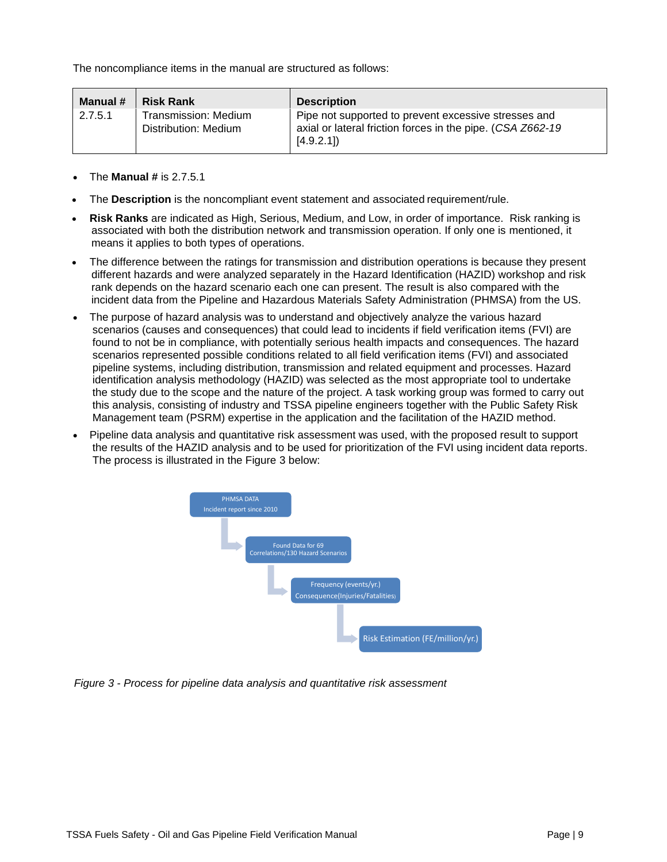The noncompliance items in the manual are structured as follows:

| Manual # | <b>Risk Rank</b>                             | <b>Description</b>                                                                                                              |
|----------|----------------------------------------------|---------------------------------------------------------------------------------------------------------------------------------|
| 2.7.5.1  | Transmission: Medium<br>Distribution: Medium | Pipe not supported to prevent excessive stresses and<br>axial or lateral friction forces in the pipe. (CSA Z662-19<br>[4.9.2.1] |

- The **Manual #** is 2.7.5.1
- The **Description** is the noncompliant event statement and associated requirement/rule.
- **Risk Ranks** are indicated as High, Serious, Medium, and Low, in order of importance. Risk ranking is associated with both the distribution network and transmission operation. If only one is mentioned, it means it applies to both types of operations.
- The difference between the ratings for transmission and distribution operations is because they present different hazards and were analyzed separately in the Hazard Identification (HAZID) workshop and risk rank depends on the hazard scenario each one can present. The result is also compared with the incident data from the Pipeline and Hazardous Materials Safety Administration (PHMSA) from the US.
- The purpose of hazard analysis was to understand and objectively analyze the various hazard scenarios (causes and consequences) that could lead to incidents if field verification items (FVI) are found to not be in compliance, with potentially serious health impacts and consequences. The hazard scenarios represented possible conditions related to all field verification items (FVI) and associated pipeline systems, including distribution, transmission and related equipment and processes. Hazard identification analysis methodology (HAZID) was selected as the most appropriate tool to undertake the study due to the scope and the nature of the project. A task working group was formed to carry out this analysis, consisting of industry and TSSA pipeline engineers together with the Public Safety Risk Management team (PSRM) expertise in the application and the facilitation of the HAZID method.
- Pipeline data analysis and quantitative risk assessment was used, with the proposed result to support the results of the HAZID analysis and to be used for prioritization of the FVI using incident data reports. The process is illustrated in the Figure 3 below:



<span id="page-8-0"></span>*Figure 3 - Process for pipeline data analysis and quantitative risk assessment*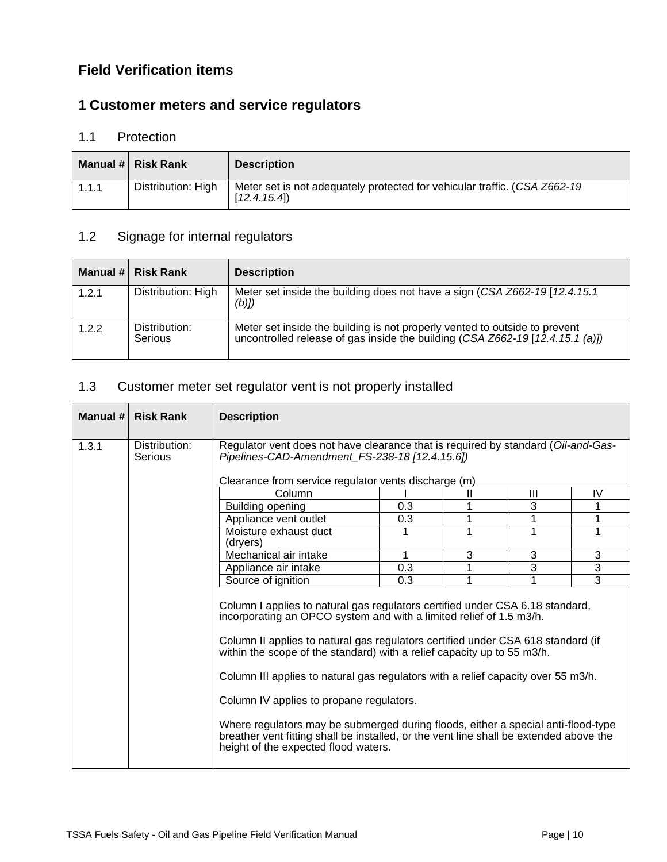#### **Field Verification items**

### <span id="page-9-0"></span>**1 Customer meters and service regulators**

#### <span id="page-9-1"></span>1.1 Protection

|       | Manual # Risk Rank | <b>Description</b>                                                                       |
|-------|--------------------|------------------------------------------------------------------------------------------|
| 1.1.1 | Distribution: High | Meter set is not adequately protected for vehicular traffic. (CSA Z662-19<br>[12.4.15.4] |

# <span id="page-9-2"></span>1.2 Signage for internal regulators

|       | Manual # Risk Rank       | <b>Description</b>                                                                                                                                          |
|-------|--------------------------|-------------------------------------------------------------------------------------------------------------------------------------------------------------|
| 1.2.1 | Distribution: High       | Meter set inside the building does not have a sign (CSA Z662-19 [12.4.15.1]<br>$(b)$ ])                                                                     |
| 1.2.2 | Distribution:<br>Serious | Meter set inside the building is not properly vented to outside to prevent<br>uncontrolled release of gas inside the building (CSA Z662-19 [12.4.15.1 (a)]) |

#### <span id="page-9-3"></span>1.3 Customer meter set regulator vent is not properly installed

<span id="page-9-4"></span>

| Manual # | <b>Risk Rank</b>         | <b>Description</b>                                                                                                                                                                                                                                                                                                                                                                                                                                                                                                                                                                                                                                                          |     |   |   |                |
|----------|--------------------------|-----------------------------------------------------------------------------------------------------------------------------------------------------------------------------------------------------------------------------------------------------------------------------------------------------------------------------------------------------------------------------------------------------------------------------------------------------------------------------------------------------------------------------------------------------------------------------------------------------------------------------------------------------------------------------|-----|---|---|----------------|
| 1.3.1    | Distribution:<br>Serious | Regulator vent does not have clearance that is required by standard (Oil-and-Gas-<br>Pipelines-CAD-Amendment_FS-238-18 [12.4.15.6])<br>Clearance from service regulator vents discharge (m)                                                                                                                                                                                                                                                                                                                                                                                                                                                                                 |     |   |   |                |
|          |                          | Column                                                                                                                                                                                                                                                                                                                                                                                                                                                                                                                                                                                                                                                                      |     | Ш | Ш | IV             |
|          |                          | <b>Building opening</b>                                                                                                                                                                                                                                                                                                                                                                                                                                                                                                                                                                                                                                                     | 0.3 |   | 3 |                |
|          |                          | Appliance vent outlet                                                                                                                                                                                                                                                                                                                                                                                                                                                                                                                                                                                                                                                       | 0.3 | 1 | 1 |                |
|          |                          | Moisture exhaust duct<br>(dryers)                                                                                                                                                                                                                                                                                                                                                                                                                                                                                                                                                                                                                                           | 1   |   |   | 1              |
|          |                          | Mechanical air intake                                                                                                                                                                                                                                                                                                                                                                                                                                                                                                                                                                                                                                                       | 1   | 3 | 3 | 3              |
|          |                          | Appliance air intake                                                                                                                                                                                                                                                                                                                                                                                                                                                                                                                                                                                                                                                        | 0.3 |   | 3 | $\overline{3}$ |
|          |                          | Source of ignition<br>0.3                                                                                                                                                                                                                                                                                                                                                                                                                                                                                                                                                                                                                                                   |     | 1 | 1 | 3              |
|          |                          | Column I applies to natural gas regulators certified under CSA 6.18 standard,<br>incorporating an OPCO system and with a limited relief of 1.5 m3/h.<br>Column II applies to natural gas regulators certified under CSA 618 standard (if<br>within the scope of the standard) with a relief capacity up to 55 m3/h.<br>Column III applies to natural gas regulators with a relief capacity over 55 m3/h.<br>Column IV applies to propane regulators.<br>Where regulators may be submerged during floods, either a special anti-flood-type<br>breather vent fitting shall be installed, or the vent line shall be extended above the<br>height of the expected flood waters. |     |   |   |                |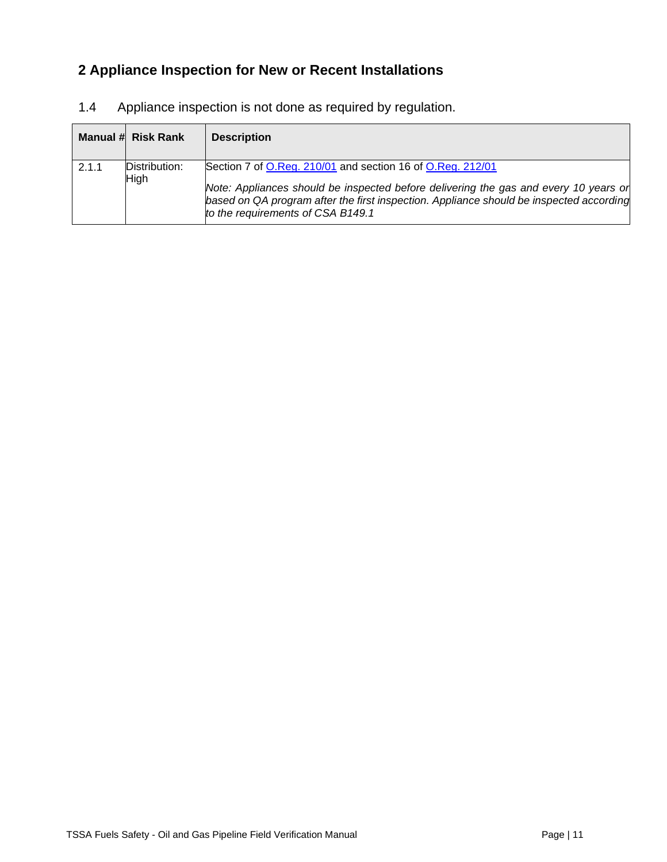# **2 Appliance Inspection for New or Recent Installations**

|       | Manual # Risk Rank    | <b>Description</b>                                                                                                                                                                                                                                                                 |
|-------|-----------------------|------------------------------------------------------------------------------------------------------------------------------------------------------------------------------------------------------------------------------------------------------------------------------------|
| 2.1.1 | Distribution:<br>High | Section 7 of O.Reg. 210/01 and section 16 of O.Reg. 212/01<br>Note: Appliances should be inspected before delivering the gas and every 10 years or<br>based on QA program after the first inspection. Appliance should be inspected according<br>to the requirements of CSA B149.1 |

<span id="page-10-0"></span>1.4 Appliance inspection is not done as required by regulation.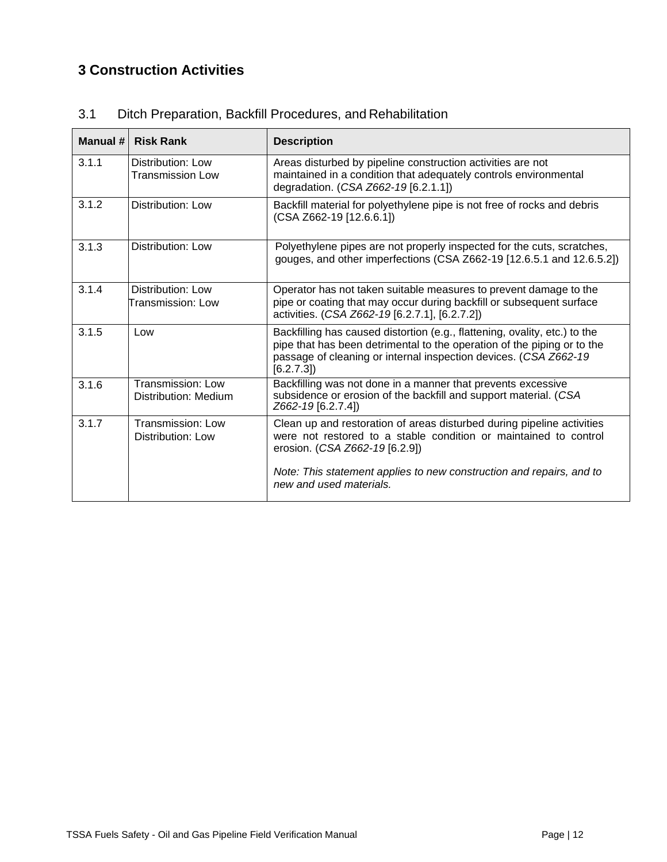### <span id="page-11-0"></span>**3 Construction Activities**

| Manual # | <b>Risk Rank</b>                          | <b>Description</b>                                                                                                                                                                                                                                                              |
|----------|-------------------------------------------|---------------------------------------------------------------------------------------------------------------------------------------------------------------------------------------------------------------------------------------------------------------------------------|
| 3.1.1    | Distribution: Low<br>Transmission Low     | Areas disturbed by pipeline construction activities are not<br>maintained in a condition that adequately controls environmental<br>degradation. (CSA Z662-19 [6.2.1.1])                                                                                                         |
| 3.1.2    | Distribution: Low                         | Backfill material for polyethylene pipe is not free of rocks and debris<br>(CSA Z662-19 [12.6.6.1])                                                                                                                                                                             |
| 3.1.3    | Distribution: Low                         | Polyethylene pipes are not properly inspected for the cuts, scratches,<br>gouges, and other imperfections (CSA Z662-19 [12.6.5.1 and 12.6.5.2])                                                                                                                                 |
| 3.1.4    | Distribution: Low<br>Transmission: Low    | Operator has not taken suitable measures to prevent damage to the<br>pipe or coating that may occur during backfill or subsequent surface<br>activities. (CSA Z662-19 [6.2.7.1], [6.2.7.2])                                                                                     |
| 3.1.5    | Low                                       | Backfilling has caused distortion (e.g., flattening, ovality, etc.) to the<br>pipe that has been detrimental to the operation of the piping or to the<br>passage of cleaning or internal inspection devices. (CSA Z662-19<br>[6.2.7.3]                                          |
| 3.1.6    | Transmission: Low<br>Distribution: Medium | Backfilling was not done in a manner that prevents excessive<br>subsidence or erosion of the backfill and support material. (CSA<br>Z662-19 [6.2.7.4])                                                                                                                          |
| 3.1.7    | Transmission: Low<br>Distribution: Low    | Clean up and restoration of areas disturbed during pipeline activities<br>were not restored to a stable condition or maintained to control<br>erosion. (CSA Z662-19 [6.2.9])<br>Note: This statement applies to new construction and repairs, and to<br>new and used materials. |

#### <span id="page-11-1"></span>3.1 Ditch Preparation, Backfill Procedures, and Rehabilitation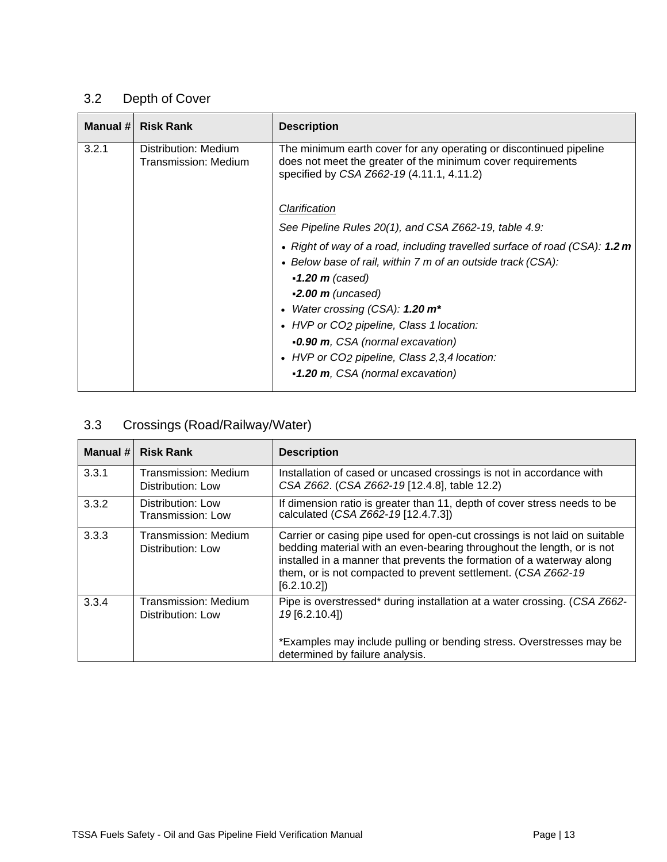# <span id="page-12-0"></span>3.2 Depth of Cover

| Manual # | <b>Risk Rank</b>                             | <b>Description</b>                                                                                                                                                                                                                                                                                                                            |
|----------|----------------------------------------------|-----------------------------------------------------------------------------------------------------------------------------------------------------------------------------------------------------------------------------------------------------------------------------------------------------------------------------------------------|
| 3.2.1    | Distribution: Medium<br>Transmission: Medium | The minimum earth cover for any operating or discontinued pipeline<br>does not meet the greater of the minimum cover requirements<br>specified by CSA Z662-19 (4.11.1, 4.11.2)                                                                                                                                                                |
|          |                                              | Clarification                                                                                                                                                                                                                                                                                                                                 |
|          |                                              | See Pipeline Rules 20(1), and CSA Z662-19, table 4.9:                                                                                                                                                                                                                                                                                         |
|          |                                              | • Right of way of a road, including travelled surface of road (CSA): 1.2 m<br>• Below base of rail, within 7 m of an outside track (CSA):<br>$\bullet$ 1.20 m (cased)<br>$-2.00$ m (uncased)<br>Water crossing (CSA): $1.20 \text{ m}^*$<br>$\bullet$<br>• HVP or CO2 pipeline, Class 1 location:<br><b>-0.90 m</b> , CSA (normal excavation) |
|          |                                              | • HVP or CO2 pipeline, Class 2,3,4 location:<br>•1.20 m, CSA (normal excavation)                                                                                                                                                                                                                                                              |

### <span id="page-12-1"></span>3.3 Crossings (Road/Railway/Water)

| Manual # | <b>Risk Rank</b>                                 | <b>Description</b>                                                                                                                                                                                                                                                                                           |
|----------|--------------------------------------------------|--------------------------------------------------------------------------------------------------------------------------------------------------------------------------------------------------------------------------------------------------------------------------------------------------------------|
| 3.3.1    | <b>Transmission: Medium</b><br>Distribution: Low | Installation of cased or uncased crossings is not in accordance with<br>CSA Z662. (CSA Z662-19 [12.4.8], table 12.2)                                                                                                                                                                                         |
| 3.3.2    | Distribution: Low<br>Transmission: Low           | If dimension ratio is greater than 11, depth of cover stress needs to be<br>calculated (CSA Z662-19 [12.4.7.3])                                                                                                                                                                                              |
| 3.3.3    | Transmission: Medium<br>Distribution: Low        | Carrier or casing pipe used for open-cut crossings is not laid on suitable<br>bedding material with an even-bearing throughout the length, or is not<br>installed in a manner that prevents the formation of a waterway along<br>them, or is not compacted to prevent settlement. (CSA Z662-19<br>[6.2.10.2] |
| 3.3.4    | Transmission: Medium<br>Distribution: Low        | Pipe is overstressed* during installation at a water crossing. (CSA Z662-<br>19 [6.2.10.4])                                                                                                                                                                                                                  |
|          |                                                  | *Examples may include pulling or bending stress. Overstresses may be<br>determined by failure analysis.                                                                                                                                                                                                      |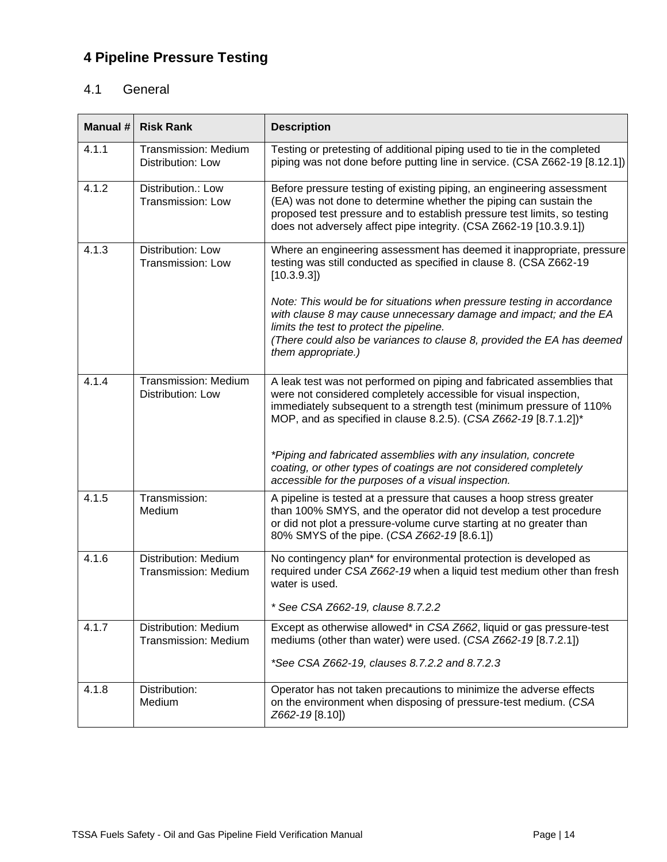# <span id="page-13-0"></span>**4 Pipeline Pressure Testing**

#### <span id="page-13-1"></span>4.1 General

| Manual # | <b>Risk Rank</b>                                        | <b>Description</b>                                                                                                                                                                                                                                                                           |
|----------|---------------------------------------------------------|----------------------------------------------------------------------------------------------------------------------------------------------------------------------------------------------------------------------------------------------------------------------------------------------|
| 4.1.1    | <b>Transmission: Medium</b><br>Distribution: Low        | Testing or pretesting of additional piping used to tie in the completed<br>piping was not done before putting line in service. (CSA Z662-19 [8.12.1])                                                                                                                                        |
| 4.1.2    | Distribution.: Low<br>Transmission: Low                 | Before pressure testing of existing piping, an engineering assessment<br>(EA) was not done to determine whether the piping can sustain the<br>proposed test pressure and to establish pressure test limits, so testing<br>does not adversely affect pipe integrity. (CSA Z662-19 [10.3.9.1]) |
| 4.1.3    | Distribution: Low<br>Transmission: Low                  | Where an engineering assessment has deemed it inappropriate, pressure<br>testing was still conducted as specified in clause 8. (CSA Z662-19<br>[10.3.9.3]                                                                                                                                    |
|          |                                                         | Note: This would be for situations when pressure testing in accordance<br>with clause 8 may cause unnecessary damage and impact; and the EA<br>limits the test to protect the pipeline.<br>(There could also be variances to clause 8, provided the EA has deemed<br>them appropriate.)      |
| 4.1.4    | <b>Transmission: Medium</b><br><b>Distribution: Low</b> | A leak test was not performed on piping and fabricated assemblies that<br>were not considered completely accessible for visual inspection,<br>immediately subsequent to a strength test (minimum pressure of 110%<br>MOP, and as specified in clause 8.2.5). (CSA Z662-19 [8.7.1.2])*        |
|          |                                                         | *Piping and fabricated assemblies with any insulation, concrete<br>coating, or other types of coatings are not considered completely<br>accessible for the purposes of a visual inspection.                                                                                                  |
| 4.1.5    | Transmission:<br>Medium                                 | A pipeline is tested at a pressure that causes a hoop stress greater<br>than 100% SMYS, and the operator did not develop a test procedure<br>or did not plot a pressure-volume curve starting at no greater than<br>80% SMYS of the pipe. (CSA Z662-19 [8.6.1])                              |
| 4.1.6    | Distribution: Medium<br><b>Transmission: Medium</b>     | No contingency plan* for environmental protection is developed as<br>required under CSA Z662-19 when a liquid test medium other than fresh<br>water is used.                                                                                                                                 |
|          |                                                         | * See CSA Z662-19, clause 8.7.2.2                                                                                                                                                                                                                                                            |
| 4.1.7    | Distribution: Medium<br><b>Transmission: Medium</b>     | Except as otherwise allowed* in CSA Z662, liquid or gas pressure-test<br>mediums (other than water) were used. (CSA Z662-19 [8.7.2.1])                                                                                                                                                       |
|          |                                                         | *See CSA Z662-19, clauses 8.7.2.2 and 8.7.2.3                                                                                                                                                                                                                                                |
| 4.1.8    | Distribution:<br>Medium                                 | Operator has not taken precautions to minimize the adverse effects<br>on the environment when disposing of pressure-test medium. (CSA<br>Z662-19 [8.10])                                                                                                                                     |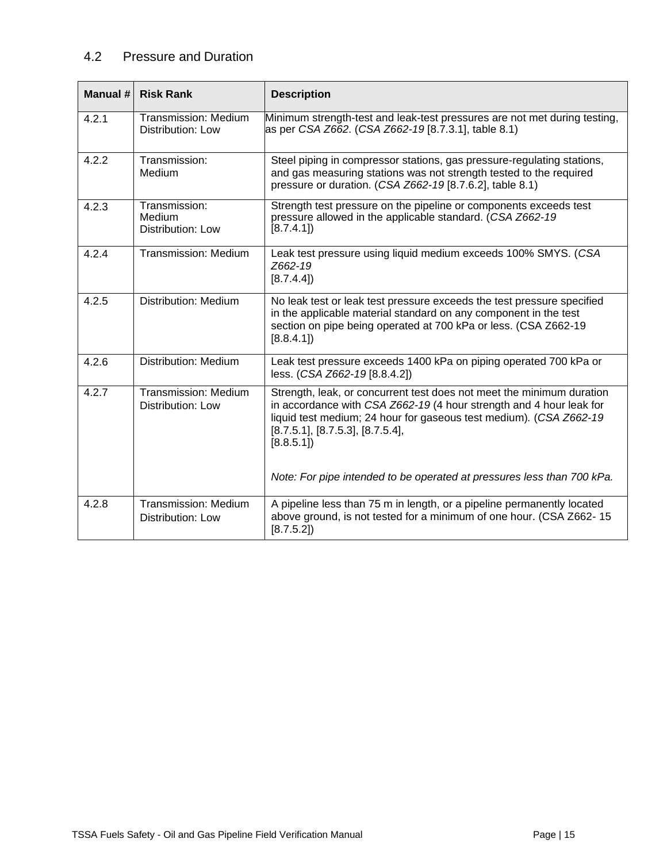#### <span id="page-14-0"></span>4.2 Pressure and Duration

<span id="page-14-1"></span>

| Manual # | <b>Risk Rank</b>                                    | <b>Description</b>                                                                                                                                                                                                                                                  |
|----------|-----------------------------------------------------|---------------------------------------------------------------------------------------------------------------------------------------------------------------------------------------------------------------------------------------------------------------------|
| 4.2.1    | <b>Transmission: Medium</b><br>Distribution: Low    | Minimum strength-test and leak-test pressures are not met during testing,<br>as per CSA Z662. (CSA Z662-19 [8.7.3.1], table 8.1)                                                                                                                                    |
| 4.2.2    | Transmission:<br>Medium                             | Steel piping in compressor stations, gas pressure-regulating stations,<br>and gas measuring stations was not strength tested to the required<br>pressure or duration. (CSA Z662-19 [8.7.6.2], table 8.1)                                                            |
| 4.2.3    | Transmission:<br>Medium<br><b>Distribution: Low</b> | Strength test pressure on the pipeline or components exceeds test<br>pressure allowed in the applicable standard. (CSA Z662-19)<br>[8.7.4.1]                                                                                                                        |
| 4.2.4    | <b>Transmission: Medium</b>                         | Leak test pressure using liquid medium exceeds 100% SMYS. (CSA<br>Z662-19<br>[8.7.4.4]                                                                                                                                                                              |
| 4.2.5    | Distribution: Medium                                | No leak test or leak test pressure exceeds the test pressure specified<br>in the applicable material standard on any component in the test<br>section on pipe being operated at 700 kPa or less. (CSA Z662-19<br>[8.8.4.1]                                          |
| 4.2.6    | <b>Distribution: Medium</b>                         | Leak test pressure exceeds 1400 kPa on piping operated 700 kPa or<br>less. (CSA Z662-19 [8.8.4.2])                                                                                                                                                                  |
| 4.2.7    | <b>Transmission: Medium</b><br>Distribution: Low    | Strength, leak, or concurrent test does not meet the minimum duration<br>in accordance with CSA Z662-19 (4 hour strength and 4 hour leak for<br>liquid test medium; 24 hour for gaseous test medium). (CSA Z662-19<br>[8.7.5.1], [8.7.5.3], [8.7.5.4],<br>[8.8.5.1] |
|          |                                                     | Note: For pipe intended to be operated at pressures less than 700 kPa.                                                                                                                                                                                              |
| 4.2.8    | <b>Transmission: Medium</b><br>Distribution: Low    | A pipeline less than 75 m in length, or a pipeline permanently located<br>above ground, is not tested for a minimum of one hour. (CSA Z662-15<br>[8.7.5.2]                                                                                                          |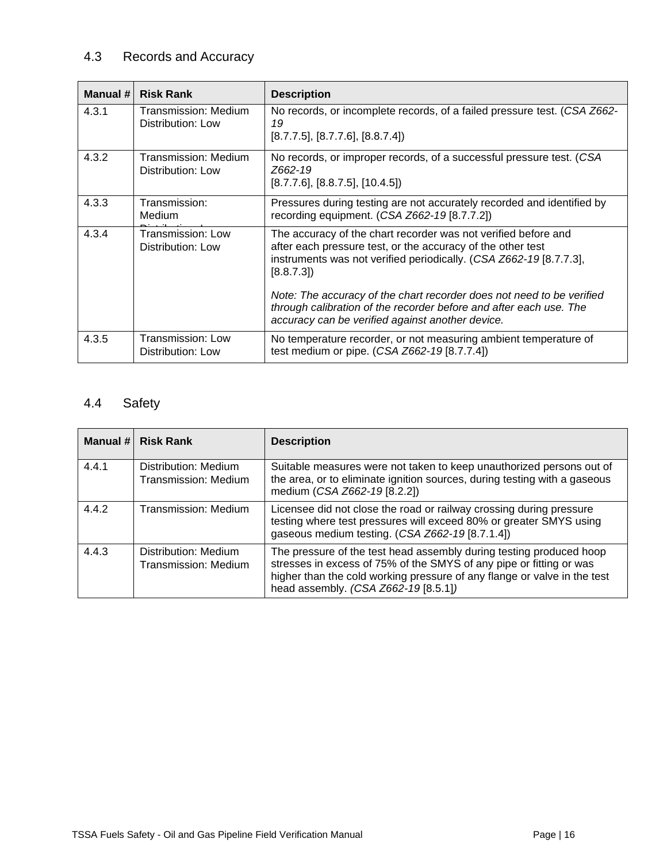### 4.3 Records and Accuracy

| Manual # | <b>Risk Rank</b>                              | <b>Description</b>                                                                                                                                                                                                                                                                                                                                              |
|----------|-----------------------------------------------|-----------------------------------------------------------------------------------------------------------------------------------------------------------------------------------------------------------------------------------------------------------------------------------------------------------------------------------------------------------------|
| 4.3.1    | Transmission: Medium<br>Distribution: Low     | No records, or incomplete records, of a failed pressure test. (CSA Z662-<br>19<br>[8.7.7.5], [8.7.7.6], [8.8.7.4]                                                                                                                                                                                                                                               |
| 4.3.2    | Transmission: Medium<br>Distribution: Low     | No records, or improper records, of a successful pressure test. (CSA<br>Z662-19<br>$[8.7.7.6]$ , $[8.8.7.5]$ , $[10.4.5]$                                                                                                                                                                                                                                       |
| 4.3.3    | Transmission:<br><b>Medium</b>                | Pressures during testing are not accurately recorded and identified by<br>recording equipment. (CSA Z662-19 [8.7.7.2])                                                                                                                                                                                                                                          |
| 4.3.4    | <b>Transmission: Low</b><br>Distribution: Low | The accuracy of the chart recorder was not verified before and<br>after each pressure test, or the accuracy of the other test<br>instruments was not verified periodically. (CSA Z662-19 [8.7.7.3],<br>[8.8.7.3]<br>Note: The accuracy of the chart recorder does not need to be verified<br>through calibration of the recorder before and after each use. The |
|          |                                               | accuracy can be verified against another device.                                                                                                                                                                                                                                                                                                                |
| 4.3.5    | Transmission: Low<br>Distribution: Low        | No temperature recorder, or not measuring ambient temperature of<br>test medium or pipe. (CSA Z662-19 [8.7.7.4])                                                                                                                                                                                                                                                |

# <span id="page-15-0"></span>4.4 Safety

<span id="page-15-1"></span>

|       | Manual # Risk Rank                           | <b>Description</b>                                                                                                                                                                                                                                             |
|-------|----------------------------------------------|----------------------------------------------------------------------------------------------------------------------------------------------------------------------------------------------------------------------------------------------------------------|
| 4.4.1 | Distribution: Medium<br>Transmission: Medium | Suitable measures were not taken to keep unauthorized persons out of<br>the area, or to eliminate ignition sources, during testing with a gaseous<br>medium (CSA Z662-19 [8.2.2])                                                                              |
| 4.4.2 | Transmission: Medium                         | Licensee did not close the road or railway crossing during pressure<br>testing where test pressures will exceed 80% or greater SMYS using<br>gaseous medium testing. (CSA Z662-19 [8.7.1.4])                                                                   |
| 4.4.3 | Distribution: Medium<br>Transmission: Medium | The pressure of the test head assembly during testing produced hoop<br>stresses in excess of 75% of the SMYS of any pipe or fitting or was<br>higher than the cold working pressure of any flange or valve in the test<br>head assembly. (CSA Z662-19 [8.5.1]) |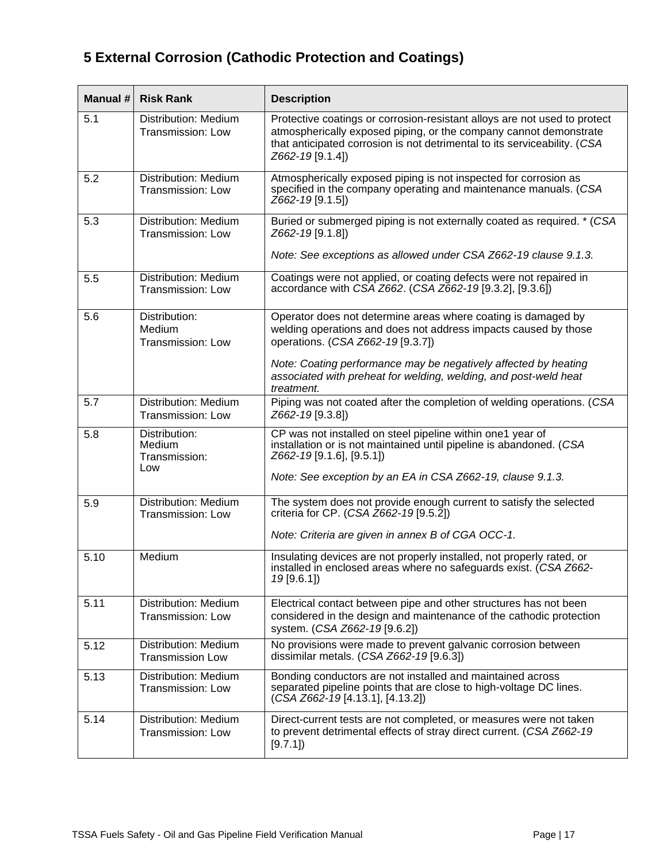# **5 External Corrosion (Cathodic Protection and Coatings)**

| Manual # | <b>Risk Rank</b>                                 | <b>Description</b>                                                                                                                                                                                                                              |
|----------|--------------------------------------------------|-------------------------------------------------------------------------------------------------------------------------------------------------------------------------------------------------------------------------------------------------|
| 5.1      | Distribution: Medium<br>Transmission: Low        | Protective coatings or corrosion-resistant alloys are not used to protect<br>atmospherically exposed piping, or the company cannot demonstrate<br>that anticipated corrosion is not detrimental to its serviceability. (CSA<br>Z662-19 [9.1.4]) |
| 5.2      | Distribution: Medium<br><b>Transmission: Low</b> | Atmospherically exposed piping is not inspected for corrosion as<br>specified in the company operating and maintenance manuals. (CSA<br>Z662-19 [9.1.5])                                                                                        |
| 5.3      | Distribution: Medium<br>Transmission: Low        | Buried or submerged piping is not externally coated as required. * (CSA<br>Z662-19 [9.1.8])<br>Note: See exceptions as allowed under CSA Z662-19 clause 9.1.3.                                                                                  |
| 5.5      | Distribution: Medium<br><b>Transmission: Low</b> | Coatings were not applied, or coating defects were not repaired in<br>accordance with CSA Z662. (CSA Z662-19 [9.3.2], [9.3.6])                                                                                                                  |
| 5.6      | Distribution:<br>Medium<br>Transmission: Low     | Operator does not determine areas where coating is damaged by<br>welding operations and does not address impacts caused by those<br>operations. (CSA Z662-19 [9.3.7])                                                                           |
|          |                                                  | Note: Coating performance may be negatively affected by heating<br>associated with preheat for welding, welding, and post-weld heat<br>treatment.                                                                                               |
| 5.7      | Distribution: Medium<br>Transmission: Low        | Piping was not coated after the completion of welding operations. (CSA<br>Z662-19 [9.3.8])                                                                                                                                                      |
| 5.8      | Distribution:<br>Medium<br>Transmission:<br>Low  | CP was not installed on steel pipeline within one1 year of<br>installation or is not maintained until pipeline is abandoned. (CSA<br>Z662-19 [9.1.6], [9.5.1])<br>Note: See exception by an EA in CSA Z662-19, clause 9.1.3.                    |
| 5.9      | Distribution: Medium<br>Transmission: Low        | The system does not provide enough current to satisfy the selected<br>criteria for CP. (CSA 2662-19 [9.5.2])                                                                                                                                    |
|          |                                                  | Note: Criteria are given in annex B of CGA OCC-1.                                                                                                                                                                                               |
| 5.10     | Medium                                           | Insulating devices are not properly installed, not properly rated, or<br>installed in enclosed areas where no safeguards exist. (CSA Z662-<br>19[9.6.1]                                                                                         |
| 5.11     | Distribution: Medium<br><b>Transmission: Low</b> | Electrical contact between pipe and other structures has not been<br>considered in the design and maintenance of the cathodic protection<br>system. (CSA Z662-19 [9.6.2])                                                                       |
| 5.12     | Distribution: Medium<br><b>Transmission Low</b>  | No provisions were made to prevent galvanic corrosion between<br>dissimilar metals. $(CSA Z662-19 [9.6.3])$                                                                                                                                     |
| 5.13     | Distribution: Medium<br>Transmission: Low        | Bonding conductors are not installed and maintained across<br>separated pipeline points that are close to high-voltage DC lines.<br>$(CSA Z662-19 [4.13.1], [4.13.2])$                                                                          |
| 5.14     | Distribution: Medium<br><b>Transmission: Low</b> | Direct-current tests are not completed, or measures were not taken<br>to prevent detrimental effects of stray direct current. (CSA Z662-19<br>[9.7.1]                                                                                           |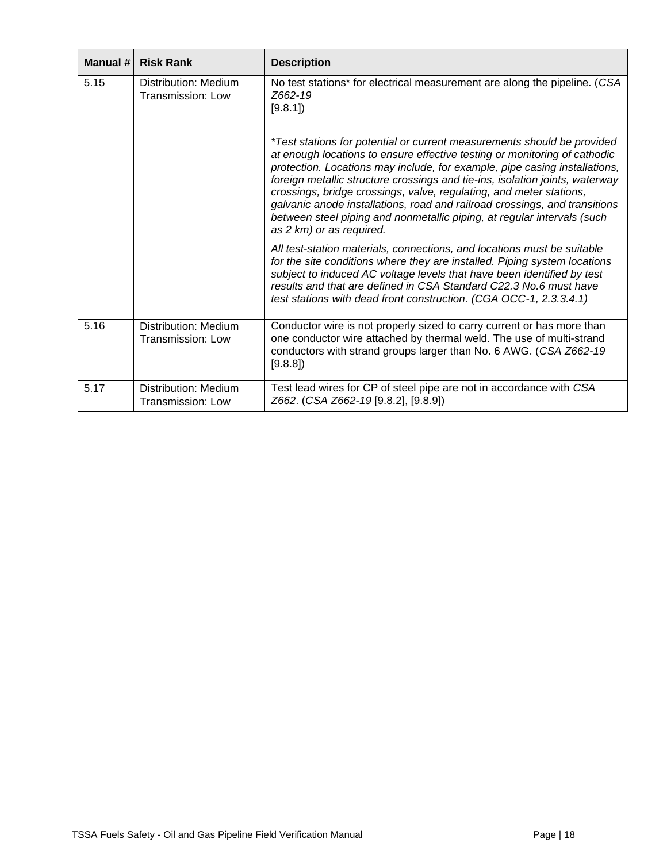| Manual # | <b>Risk Rank</b>                          | <b>Description</b>                                                                                                                                                                                                                                                                                                                                                                                                                                                                                                                                                             |
|----------|-------------------------------------------|--------------------------------------------------------------------------------------------------------------------------------------------------------------------------------------------------------------------------------------------------------------------------------------------------------------------------------------------------------------------------------------------------------------------------------------------------------------------------------------------------------------------------------------------------------------------------------|
| 5.15     | Distribution: Medium<br>Transmission: Low | No test stations* for electrical measurement are along the pipeline. (CSA<br>Z662-19<br>[9.8.1]                                                                                                                                                                                                                                                                                                                                                                                                                                                                                |
|          |                                           | *Test stations for potential or current measurements should be provided<br>at enough locations to ensure effective testing or monitoring of cathodic<br>protection. Locations may include, for example, pipe casing installations,<br>foreign metallic structure crossings and tie-ins, isolation joints, waterway<br>crossings, bridge crossings, valve, regulating, and meter stations,<br>galvanic anode installations, road and railroad crossings, and transitions<br>between steel piping and nonmetallic piping, at regular intervals (such<br>as 2 km) or as required. |
|          |                                           | All test-station materials, connections, and locations must be suitable<br>for the site conditions where they are installed. Piping system locations<br>subject to induced AC voltage levels that have been identified by test<br>results and that are defined in CSA Standard C22.3 No.6 must have<br>test stations with dead front construction. (CGA OCC-1, 2.3.3.4.1)                                                                                                                                                                                                      |
| 5.16     | Distribution: Medium<br>Transmission: Low | Conductor wire is not properly sized to carry current or has more than<br>one conductor wire attached by thermal weld. The use of multi-strand<br>conductors with strand groups larger than No. 6 AWG. (CSA Z662-19<br>[9.8.8]                                                                                                                                                                                                                                                                                                                                                 |
| 5.17     | Distribution: Medium<br>Transmission: Low | Test lead wires for CP of steel pipe are not in accordance with CSA<br>Z662. (CSA Z662-19 [9.8.2], [9.8.9])                                                                                                                                                                                                                                                                                                                                                                                                                                                                    |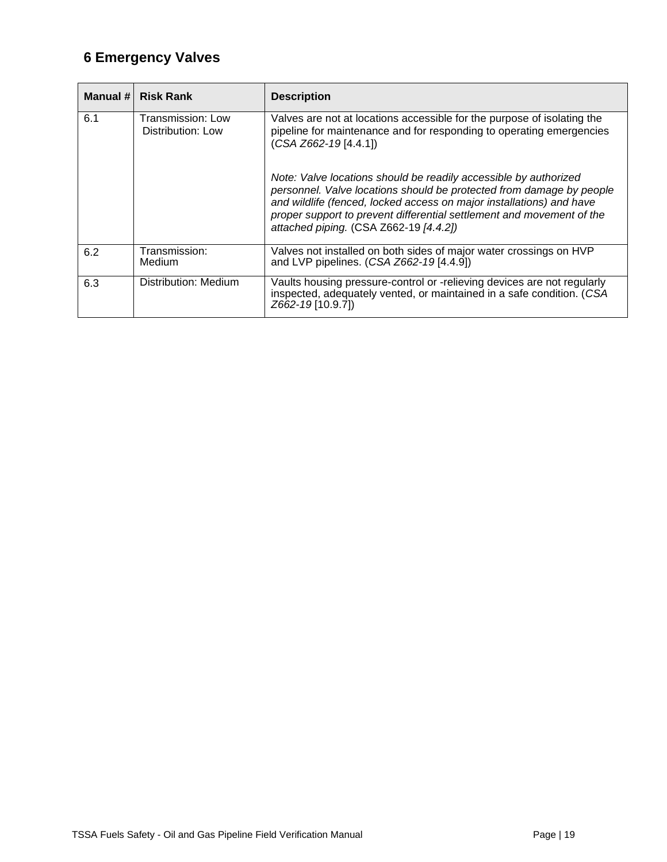# <span id="page-18-0"></span>**6 Emergency Valves**

| Manual $#$ | <b>Risk Rank</b>                       | <b>Description</b>                                                                                                                                                                                                                                                                                                                  |
|------------|----------------------------------------|-------------------------------------------------------------------------------------------------------------------------------------------------------------------------------------------------------------------------------------------------------------------------------------------------------------------------------------|
| 6.1        | Transmission: Low<br>Distribution: Low | Valves are not at locations accessible for the purpose of isolating the<br>pipeline for maintenance and for responding to operating emergencies<br>$(CSA Z662-19 [4.4.1])$                                                                                                                                                          |
|            |                                        | Note: Valve locations should be readily accessible by authorized<br>personnel. Valve locations should be protected from damage by people<br>and wildlife (fenced, locked access on major installations) and have<br>proper support to prevent differential settlement and movement of the<br>attached piping. (CSA Z662-19 [4.4.2]) |
| 6.2        | Transmission:<br>Medium                | Valves not installed on both sides of major water crossings on HVP<br>and LVP pipelines. (CSA Z662-19 [4.4.9])                                                                                                                                                                                                                      |
| 6.3        | Distribution: Medium                   | Vaults housing pressure-control or -relieving devices are not regularly<br>inspected, adequately vented, or maintained in a safe condition. (CSA<br>Z662-19 [10.9.7])                                                                                                                                                               |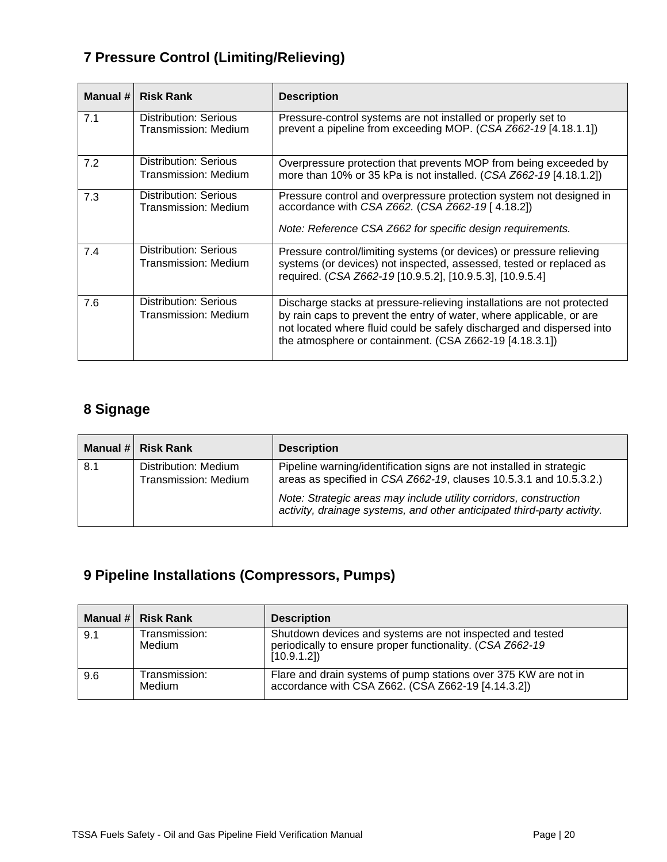# <span id="page-19-0"></span>**7 Pressure Control (Limiting/Relieving)**

| Manual # | <b>Risk Rank</b>                                     | <b>Description</b>                                                                                                                                                                                                                                                                 |
|----------|------------------------------------------------------|------------------------------------------------------------------------------------------------------------------------------------------------------------------------------------------------------------------------------------------------------------------------------------|
| 7.1      | Distribution: Serious<br>Transmission: Medium        | Pressure-control systems are not installed or properly set to<br>prevent a pipeline from exceeding MOP. (CSA Z662-19 [4.18.1.1])                                                                                                                                                   |
| 7.2      | Distribution: Serious<br>Transmission: Medium        | Overpressure protection that prevents MOP from being exceeded by<br>more than 10% or 35 kPa is not installed. (CSA Z662-19 [4.18.1.2])                                                                                                                                             |
| 7.3      | Distribution: Serious<br>Transmission: Medium        | Pressure control and overpressure protection system not designed in<br>accordance with CSA Z662. (CSA Z662-19 [4.18.2])<br>Note: Reference CSA Z662 for specific design requirements.                                                                                              |
| 7.4      | Distribution: Serious<br>Transmission: Medium        | Pressure control/limiting systems (or devices) or pressure relieving<br>systems (or devices) not inspected, assessed, tested or replaced as<br>required. (CSA Z662-19 [10.9.5.2], [10.9.5.3], [10.9.5.4]                                                                           |
| 7.6      | <b>Distribution: Serious</b><br>Transmission: Medium | Discharge stacks at pressure-relieving installations are not protected<br>by rain caps to prevent the entry of water, where applicable, or are<br>not located where fluid could be safely discharged and dispersed into<br>the atmosphere or containment. (CSA Z662-19 [4.18.3.1]) |

### <span id="page-19-1"></span>**8 Signage**

|     | Manual # Risk Rank                           | <b>Description</b>                                                                                                                           |
|-----|----------------------------------------------|----------------------------------------------------------------------------------------------------------------------------------------------|
| 8.1 | Distribution: Medium<br>Transmission: Medium | Pipeline warning/identification signs are not installed in strategic<br>areas as specified in CSA Z662-19, clauses 10.5.3.1 and 10.5.3.2.)   |
|     |                                              | Note: Strategic areas may include utility corridors, construction<br>activity, drainage systems, and other anticipated third-party activity. |

# <span id="page-19-2"></span>**9 Pipeline Installations (Compressors, Pumps)**

|     | Manual # Risk Rank      | <b>Description</b>                                                                                                                   |
|-----|-------------------------|--------------------------------------------------------------------------------------------------------------------------------------|
| 9.1 | Transmission:<br>Medium | Shutdown devices and systems are not inspected and tested<br>periodically to ensure proper functionality. (CSA Z662-19<br>[10.9.1.2] |
| 9.6 | Transmission:<br>Medium | Flare and drain systems of pump stations over 375 KW are not in<br>accordance with CSA Z662. (CSA Z662-19 [4.14.3.2])                |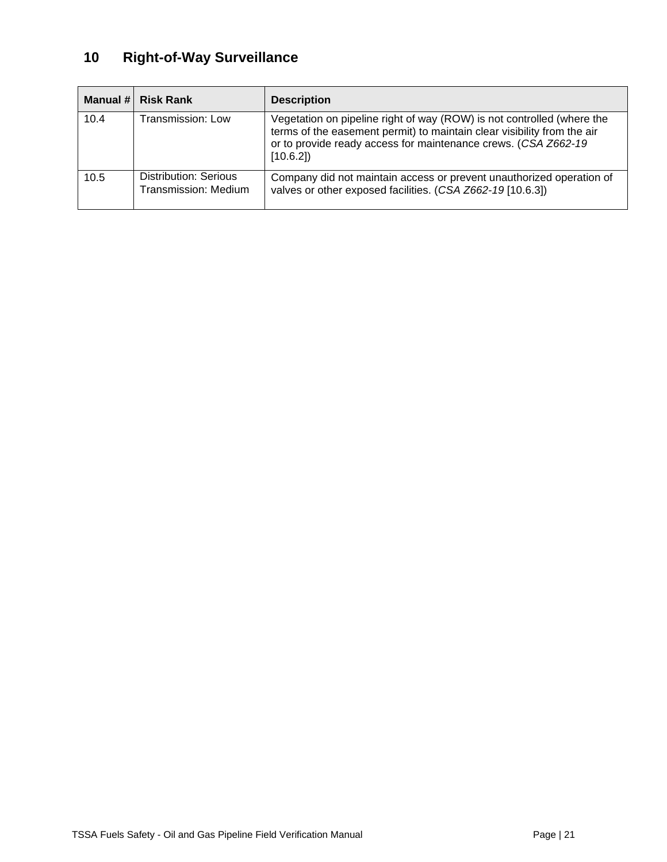# <span id="page-20-0"></span>**10 Right-of-Way Surveillance**

<span id="page-20-1"></span>

|      | Manual # Risk Rank                            | <b>Description</b>                                                                                                                                                                                                              |
|------|-----------------------------------------------|---------------------------------------------------------------------------------------------------------------------------------------------------------------------------------------------------------------------------------|
| 10.4 | Transmission: Low                             | Vegetation on pipeline right of way (ROW) is not controlled (where the<br>terms of the easement permit) to maintain clear visibility from the air<br>or to provide ready access for maintenance crews. (CSA Z662-19<br>[10.6.2] |
| 10.5 | Distribution: Serious<br>Transmission: Medium | Company did not maintain access or prevent unauthorized operation of<br>valves or other exposed facilities. (CSA Z662-19 [10.6.3])                                                                                              |